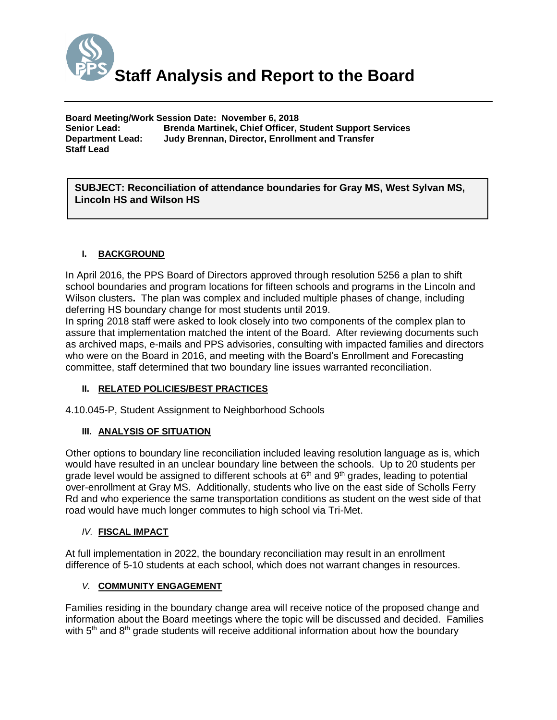

**Board Meeting/Work Session Date: November 6, 2018 Senior Lead: Brenda Martinek, Chief Officer, Student Support Services Department Lead: Judy Brennan, Director, Enrollment and Transfer Staff Lead**

*(Use this section to briefly explain the item—2-3 sentences)* **SUBJECT: Reconciliation of attendance boundaries for Gray MS, West Sylvan MS, Lincoln HS and Wilson HS**

## **I. BACKGROUND**

In April 2016, the PPS Board of Directors approved through resolution 5256 a plan to shift school boundaries and program locations for fifteen schools and programs in the Lincoln and Wilson clusters**.** The plan was complex and included multiple phases of change, including deferring HS boundary change for most students until 2019.

In spring 2018 staff were asked to look closely into two components of the complex plan to assure that implementation matched the intent of the Board. After reviewing documents such as archived maps, e-mails and PPS advisories, consulting with impacted families and directors who were on the Board in 2016, and meeting with the Board's Enrollment and Forecasting committee, staff determined that two boundary line issues warranted reconciliation.

## **II. RELATED POLICIES/BEST PRACTICES**

4.10.045-P, Student Assignment to Neighborhood Schools

## **III. ANALYSIS OF SITUATION**

Other options to boundary line reconciliation included leaving resolution language as is, which would have resulted in an unclear boundary line between the schools. Up to 20 students per grade level would be assigned to different schools at  $6<sup>th</sup>$  and  $9<sup>th</sup>$  grades, leading to potential over-enrollment at Gray MS. Additionally, students who live on the east side of Scholls Ferry Rd and who experience the same transportation conditions as student on the west side of that road would have much longer commutes to high school via Tri-Met.

### *IV.* **FISCAL IMPACT**

At full implementation in 2022, the boundary reconciliation may result in an enrollment difference of 5-10 students at each school, which does not warrant changes in resources.

### *V.* **COMMUNITY ENGAGEMENT**

Families residing in the boundary change area will receive notice of the proposed change and information about the Board meetings where the topic will be discussed and decided. Families with  $5<sup>th</sup>$  and  $8<sup>th</sup>$  grade students will receive additional information about how the boundary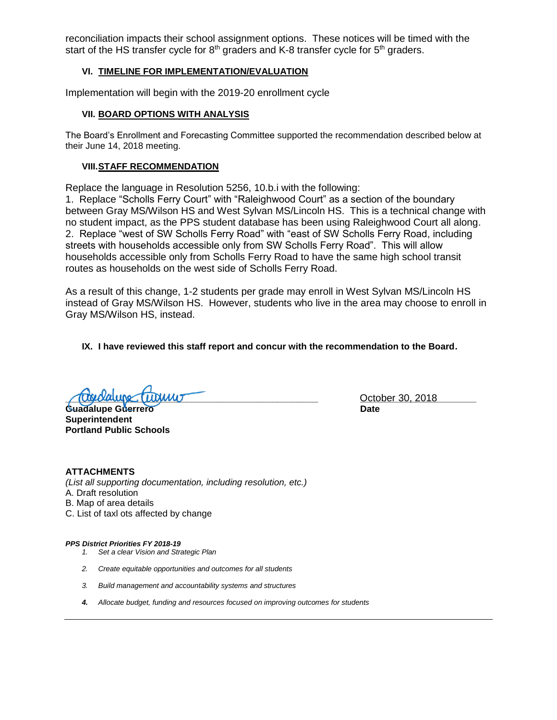reconciliation impacts their school assignment options. These notices will be timed with the start of the HS transfer cycle for  $8<sup>th</sup>$  graders and K-8 transfer cycle for  $5<sup>th</sup>$  graders.

### **VI. TIMELINE FOR IMPLEMENTATION/EVALUATION**

Implementation will begin with the 2019-20 enrollment cycle

#### **VII. BOARD OPTIONS WITH ANALYSIS**

The Board's Enrollment and Forecasting Committee supported the recommendation described below at their June 14, 2018 meeting.

#### **VIII.STAFF RECOMMENDATION**

Replace the language in Resolution 5256, 10.b.i with the following:

1. Replace "Scholls Ferry Court" with "Raleighwood Court" as a section of the boundary between Gray MS/Wilson HS and West Sylvan MS/Lincoln HS. This is a technical change with no student impact, as the PPS student database has been using Raleighwood Court all along. 2. Replace "west of SW Scholls Ferry Road" with "east of SW Scholls Ferry Road, including streets with households accessible only from SW Scholls Ferry Road". This will allow households accessible only from Scholls Ferry Road to have the same high school transit routes as households on the west side of Scholls Ferry Road.

As a result of this change, 1-2 students per grade may enroll in West Sylvan MS/Lincoln HS instead of Gray MS/Wilson HS. However, students who live in the area may choose to enroll in Gray MS/Wilson HS, instead.

**IX. I have reviewed this staff report and concur with the recommendation to the Board.**

**Trigicially a contract the contract of the contract of the contract of the contract of the contract of the contract of the contract of the contract of the contract of the contract of the contract of the contract of the co** 

Guadalupe Guerrero **Date Superintendent Portland Public Schools**

**ATTACHMENTS** *(List all supporting documentation, including resolution, etc.)* A. Draft resolution B. Map of area details C. List of taxl ots affected by change

*PPS District Priorities FY 2018-19*

- *1. Set a clear Vision and Strategic Plan*
- *2. Create equitable opportunities and outcomes for all students*
- *3. Build management and accountability systems and structures*
- *4. Allocate budget, funding and resources focused on improving outcomes for students*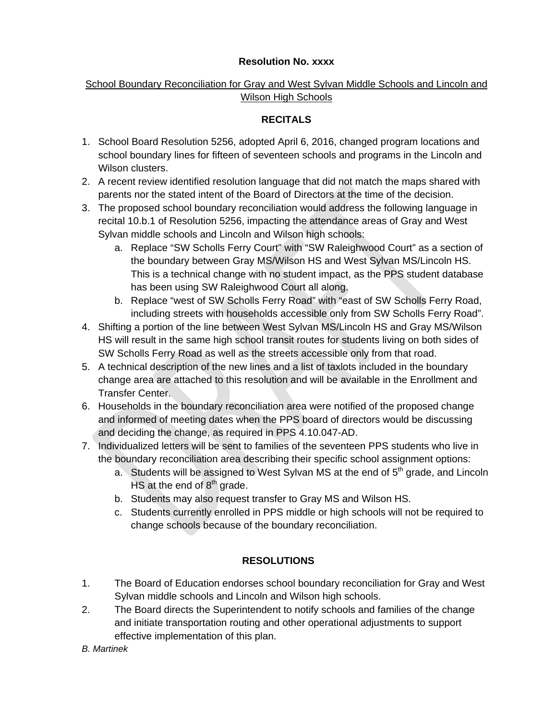## **Resolution No. xxxx**

# School Boundary Reconciliation for Gray and West Sylvan Middle Schools and Lincoln and Wilson High Schools

# **RECITALS**

- 1. School Board Resolution 5256, adopted April 6, 2016, changed program locations and school boundary lines for fifteen of seventeen schools and programs in the Lincoln and Wilson clusters.
- 2. A recent review identified resolution language that did not match the maps shared with parents nor the stated intent of the Board of Directors at the time of the decision.
- 3. The proposed school boundary reconciliation would address the following language in recital 10.b.1 of Resolution 5256, impacting the attendance areas of Gray and West Sylvan middle schools and Lincoln and Wilson high schools:
	- a. Replace "SW Scholls Ferry Court" with "SW Raleighwood Court" as a section of the boundary between Gray MS/Wilson HS and West Sylvan MS/Lincoln HS. This is a technical change with no student impact, as the PPS student database has been using SW Raleighwood Court all along.
	- b. Replace "west of SW Scholls Ferry Road" with "east of SW Scholls Ferry Road, including streets with households accessible only from SW Scholls Ferry Road".
- 4. Shifting a portion of the line between West Sylvan MS/Lincoln HS and Gray MS/Wilson HS will result in the same high school transit routes for students living on both sides of SW Scholls Ferry Road as well as the streets accessible only from that road.
- 5. A technical description of the new lines and a list of taxlots included in the boundary change area are attached to this resolution and will be available in the Enrollment and Transfer Center.
- 6. Households in the boundary reconciliation area were notified of the proposed change and informed of meeting dates when the PPS board of directors would be discussing and deciding the change, as required in PPS 4.10.047-AD.
- 7. Individualized letters will be sent to families of the seventeen PPS students who live in the boundary reconciliation area describing their specific school assignment options:
	- a. Students will be assigned to West Sylvan MS at the end of  $5<sup>th</sup>$  grade, and Lincoln HS at the end of  $8<sup>th</sup>$  grade.
	- b. Students may also request transfer to Gray MS and Wilson HS.
	- c. Students currently enrolled in PPS middle or high schools will not be required to change schools because of the boundary reconciliation.

# **RESOLUTIONS**

- 1. The Board of Education endorses school boundary reconciliation for Gray and West Sylvan middle schools and Lincoln and Wilson high schools.
- 2. The Board directs the Superintendent to notify schools and families of the change and initiate transportation routing and other operational adjustments to support effective implementation of this plan.

*B. Martinek*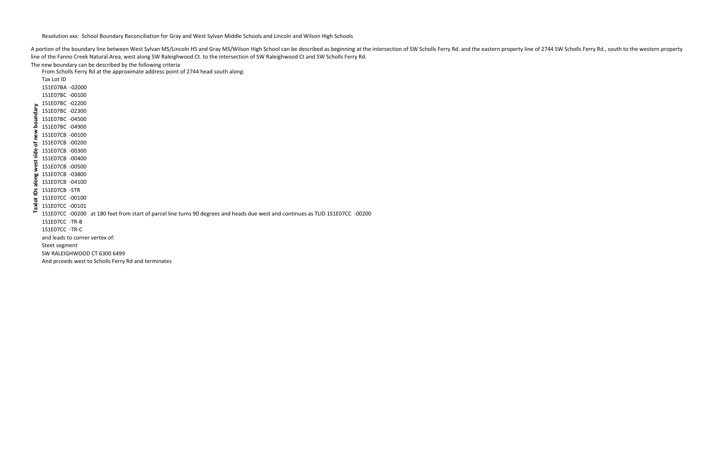Resolution xxx: School Boundary Reconciliation for Gray and West Sylvan Middle Schools and Lincoln and Wilson High Schools

The new boundary can be described by the following criteria

From Scholls Ferry Rd at the approximate address point of 2744 head south along:

| of new boundary<br>along west side | Tax Lot ID                     |                                                                                                                                 |  |
|------------------------------------|--------------------------------|---------------------------------------------------------------------------------------------------------------------------------|--|
|                                    | 1S1E07BA -02000                |                                                                                                                                 |  |
|                                    | 1S1E07BC -00100                |                                                                                                                                 |  |
|                                    | 1S1E07BC -02200                |                                                                                                                                 |  |
|                                    | 1S1E07BC -02300                |                                                                                                                                 |  |
|                                    | 1S1E07BC -04500                |                                                                                                                                 |  |
|                                    | 1S1E07BC -04900                |                                                                                                                                 |  |
|                                    | 1S1E07CB -00100                |                                                                                                                                 |  |
|                                    | 1S1E07CB -00200                |                                                                                                                                 |  |
|                                    | 1S1E07CB -00300                |                                                                                                                                 |  |
|                                    | 1S1E07CB -00400                |                                                                                                                                 |  |
|                                    | 1S1E07CB -00500                |                                                                                                                                 |  |
|                                    | 1S1E07CB -03800                |                                                                                                                                 |  |
| axlot IDs<br>⊢                     | 1S1E07CB -04100                |                                                                                                                                 |  |
|                                    | 1S1E07CB -STR                  |                                                                                                                                 |  |
|                                    | 1S1E07CC -00100                |                                                                                                                                 |  |
|                                    | 1S1E07CC -00101                |                                                                                                                                 |  |
|                                    |                                | 1S1E07CC -00200 at 180 feet from start of parcel line turns 90 degrees and heads due west and continues as TLID 1S1E07CC -00200 |  |
|                                    | 1S1E07CC -TR-B                 |                                                                                                                                 |  |
|                                    | 1S1E07CC -TR-C                 |                                                                                                                                 |  |
|                                    | and leads to corner vertex of: |                                                                                                                                 |  |
|                                    | Steet segment                  |                                                                                                                                 |  |
|                                    | SW RALEIGHWOOD CT 6300 6499    |                                                                                                                                 |  |
|                                    |                                | And prceeds west to Scholls Ferry Rd and terminates                                                                             |  |
|                                    |                                |                                                                                                                                 |  |

A portion of the boundary line between West Sylvan MS/Lincoln HS and Gray MS/Wilson High School can be described as beginning at the intersection of SW Scholls Ferry Rd. and the eastern property line of 2744 SW Scholls Fer line of the Fanno Creek Natural Area, west along SW Raleighwood Ct. to the intersection of SW Raleighwood Ct and SW Scholls Ferry Rd.